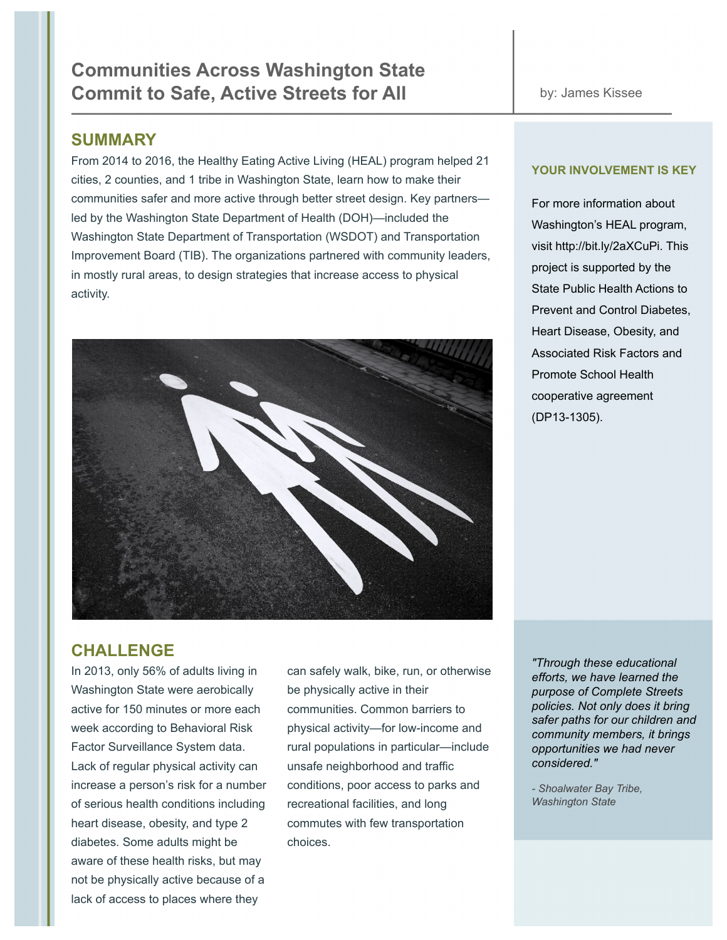### **SUMMARY**

From 2014 to 2016, the Healthy Eating Active Living (HEAL) program helped 21 cities, 2 counties, and 1 tribe in Washington State, learn how to make their communities safer and more active through better street design. Key partners led by the Washington State Department of Health (DOH)—included the Washington State Department of Transportation (WSDOT) and Transportation Improvement Board (TIB). The organizations partnered with community leaders, in mostly rural areas, to design strategies that increase access to physical activity.



### **YOUR INVOLVEMENT IS KEY**

For more information about Washington's HEAL program, visit http://bit.ly/2aXCuPi. This project is supported by the State Public Health Actions to Prevent and Control Diabetes, Heart Disease, Obesity, and Associated Risk Factors and Promote School Health cooperative agreement (DP13-1305).

# **CHALLENGE**

Washington State were aerobically be physically active in their active for 150 minutes or more each communities. Common barriers to Lack of regular physical activity can unsafe neighborhood and traffic increase a person's risk for a number conditions, poor access to parks and of serious health conditions including recreational facilities, and long heart disease, obesity, and type 2 commutes with few transportation diabetes. Some adults might be choices. aware of these health risks, but may not be physically active because of a lack of access to places where they

In 2013, only 56% of adults living in can safely walk, bike, run, or otherwise week according to Behavioral Risk physical activity—for low-income and Factor Surveillance System data. rural populations in particular—include

*"Through these educational efforts, we have learned the purpose of Complete Streets policies. Not only does it bring safer paths for our children and community members, it brings opportunities we had never considered."*

*- Shoalwater Bay Tribe, Washington State*